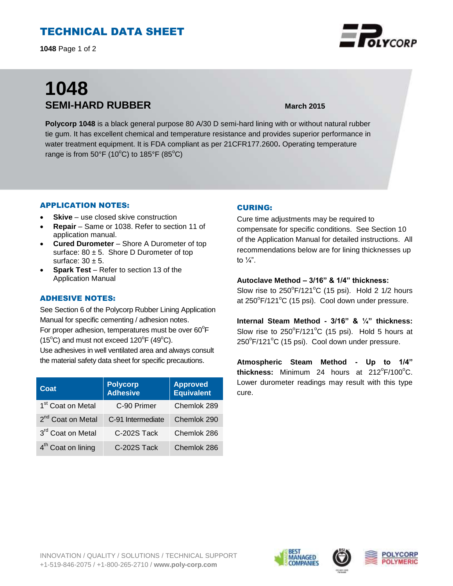# TECHNICAL DATA SHEET

**1048** Page 1 of 2

# **1048 SEMI-HARD RUBBER March 2015**

**Polycorp 1048** is a black general purpose 80 A/30 D semi-hard lining with or without natural rubber tie gum. It has excellent chemical and temperature resistance and provides superior performance in water treatment equipment. It is FDA compliant as per 21CFR177.2600**.** Operating temperature range is from  $50^{\circ}$ F (10<sup>o</sup>C) to 185 $^{\circ}$ F (85<sup>o</sup>C)

### APPLICATION NOTES:

- **Skive** use closed skive construction
- **Repair**  Same or 1038. Refer to section 11 of application manual.
- **Cured Durometer**  Shore A Durometer of top surface:  $80 \pm 5$ . Shore D Durometer of top surface:  $30 \pm 5$ .
- **Spark Test** Refer to section 13 of the Application Manual

### ADHESIVE NOTES:

See Section 6 of the Polycorp Rubber Lining Application Manual for specific cementing / adhesion notes. For proper adhesion, temperatures must be over  $60^{\circ}$ F  $(15^{\circ}C)$  and must not exceed  $120^{\circ}F(49^{\circ}C)$ . Use adhesives in well ventilated area and always consult the material safety data sheet for specific precautions.

| Coat                           | <b>Polycorp</b><br><b>Adhesive</b> | <b>Approved</b><br>Equivalent |
|--------------------------------|------------------------------------|-------------------------------|
| 1 <sup>st</sup> Coat on Metal  | C-90 Primer                        | Chemlok 289                   |
| 2 <sup>nd</sup> Coat on Metal  | C-91 Intermediate                  | Chemlok 290                   |
| 3rd Coat on Metal              | C-202S Tack                        | Chemlok 286                   |
| 4 <sup>th</sup> Coat on lining | C-202S Tack                        | Chemlok 286                   |

#### CURING:

Cure time adjustments may be required to compensate for specific conditions. See Section 10 of the Application Manual for detailed instructions. All recommendations below are for lining thicknesses up to  $\frac{1}{4}$ ".

**Autoclave Method – 3/16" & 1/4" thickness:** Slow rise to  $250^{\circ}$ F/121 $^{\circ}$ C (15 psi). Hold 2 1/2 hours at 250 $\mathrm{^oF/121^oC}$  (15 psi). Cool down under pressure.

**Internal Steam Method - 3/16" & ¼" thickness:** Slow rise to  $250^{\circ}F/121^{\circ}C$  (15 psi). Hold 5 hours at  $250^{\circ}$ F/121 $^{\circ}$ C (15 psi). Cool down under pressure.

**Atmospheric Steam Method - Up to 1/4"**  thickness: Minimum 24 hours at 212°F/100°C. Lower durometer readings may result with this type cure.